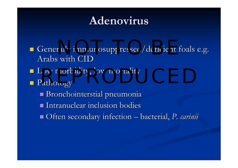### **Adenovirus Adenovirus**

**Generally immunosuppressed/deficient foals e.g.** Arabs with CID Low morbidity, low mortality<br>
Represents the Pathology **Pathology** Bronchointerstial pneumonia **Intranuclear inclusion bodies** Often secondary infection – bacterial, *P. carinii*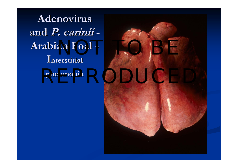**Adenovirus Adenovirus and P. carinii carinii - Arabian Foal Arabian Foal -**  ${\bf I}$ nterstitial **pneumonia pneumonia**

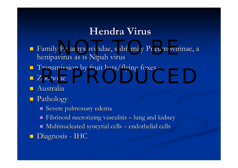#### **Hendra Virus**

- Bamily Paramyxoviridae, subfamily Pneumovirinae, a henipavirus as is Nipah virus
- **Transmission by fruit bats/flying foxes** Extraordination by Hult bats/Hying Foxes
- Zoonotic Zoonotic
- $\blacksquare$  Australia
- **Pathology** 
	- $\blacksquare$  Severe pulmonary edema
	- П  $\blacksquare$  Fibrinoid necrotizing vasculitis – lung and kidney
	- $\blacksquare$  Multinucleated syncytial cells endothelial cells
- **Diagnosis IHC**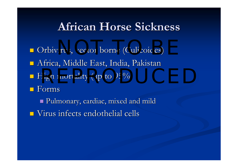#### **African Horse Sickness African Horse Sickness**

- D Orbivirus, vector borne (Culicoides)
- **-** Africa, Middle East, India, Pakistan
- $\blacksquare$  High mortality (up to 95%)
- **Forms**
- Pulmonary, cardiac, mixed and mild Pulmonary, cardiac, mixed and mild  $\blacksquare$  Virus infects endothelial cells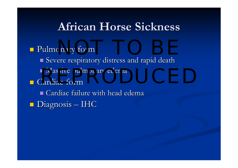## **African Horse Sickness African Horse Sickness**

# **Pulmonary form**

Severe respiratory distress and rapid death ■ Massive pulmonary edema<br>Cardiac form  $\blacksquare$  Cardiac form  $\blacksquare$  Cardiac failure with head edema  $\blacksquare$  Diagnosis  $\cdot$ – IHC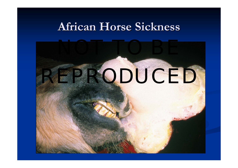#### **African Horse Sickness African Horse Sickness**

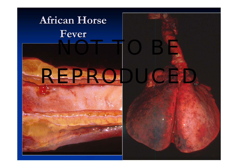## **African Horse Fever**



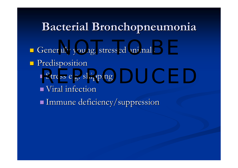## **Bacterial Bronchopneumonia Bacterial Bronchopneumonia**

**Generally young, stressed animals** 

- **Predisposition** 
	- Stress e.g. shipping
	- $\blacksquare$  Viral infection

Immune deficiency/suppression Immune deficiency/suppression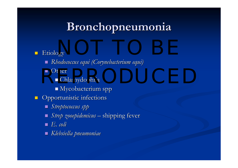## **Bronchopneumonia Bronchopneumonia**

#### $\blacksquare$ **Etiology**  $\partial \nabla V$

- *Rhodococcus Rhodococcus equ<sup>i</sup> (Corynebacterium Corynebacterium equi)*
- Other
- Chlamydophila Chlamydophila REPRODUCED
	- $\blacksquare$  Mycobacterium spp
- $\Box$ Opportunistic infections
	- *Streptococcus Streptococcus spp*
	- *Strep zooepidemicus zooepidemicus* – shipping fever
	- *E. coli E. coli*
	- *Klebsiella Klebsiella pneumoniae pneumoniae*